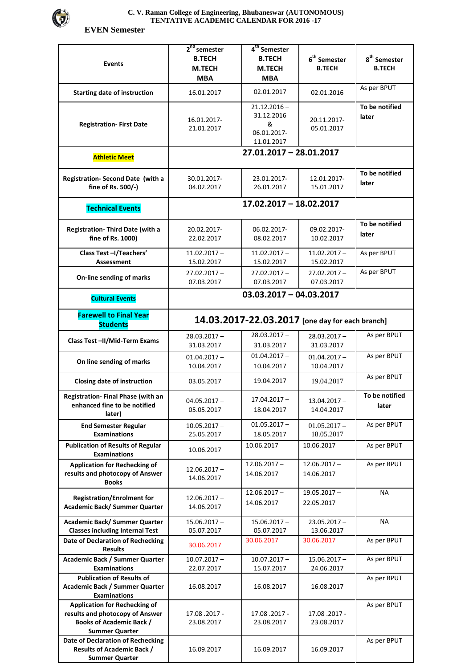

## **C. V. Raman College of Engineering, Bhubaneswar (AUTONOMOUS) TENTATIVE ACADEMIC CALENDAR FOR 2016 -17**

 **EVEN Semester** 

| <b>Events</b>                                                                                                                       | $2nd$ semester<br><b>B.TECH</b><br>M.TECH<br><b>MBA</b> | 4 <sup>th</sup> Semester<br><b>B.TECH</b><br>M.TECH<br><b>MBA</b> | $\boldsymbol{6}^{\text{th}}$ Semester<br><b>B.TECH</b> | $\textbf{8}^{\text{th}}$ Semester<br><b>B.TECH</b> |  |  |
|-------------------------------------------------------------------------------------------------------------------------------------|---------------------------------------------------------|-------------------------------------------------------------------|--------------------------------------------------------|----------------------------------------------------|--|--|
| <b>Starting date of instruction</b>                                                                                                 | 16.01.2017                                              | 02.01.2017                                                        | 02.01.2016                                             | As per BPUT                                        |  |  |
| <b>Registration-First Date</b>                                                                                                      | 16.01.2017-<br>21.01.2017                               | $21.12.2016 -$<br>31.12.2016<br>&<br>06.01.2017-<br>11.01.2017    | 20.11.2017-<br>05.01.2017                              | To be notified<br>later                            |  |  |
| <b>Athletic Meet</b>                                                                                                                | 27.01.2017 - 28.01.2017                                 |                                                                   |                                                        |                                                    |  |  |
| Registration- Second Date (with a<br>fine of Rs. 500/-)                                                                             | 30.01.2017-<br>04.02.2017                               | 23.01.2017-<br>26.01.2017                                         | 12.01.2017-<br>15.01.2017                              | To be notified<br>later                            |  |  |
| <b>Technical Events</b>                                                                                                             | 17.02.2017 - 18.02.2017                                 |                                                                   |                                                        |                                                    |  |  |
| Registration- Third Date (with a<br>fine of Rs. 1000)                                                                               | 20.02.2017-<br>22.02.2017                               | 06.02.2017-<br>08.02.2017                                         | 09.02.2017-<br>10.02.2017                              | To be notified<br>later                            |  |  |
| Class Test-I/Teachers'<br><b>Assessment</b>                                                                                         | $11.02.2017 -$<br>15.02.2017                            | $11.02.2017 -$<br>15.02.2017                                      | $11.02.2017 -$<br>15.02.2017                           | As per BPUT                                        |  |  |
| On-line sending of marks                                                                                                            | $27.02.2017 -$<br>07.03.2017                            | $27.02.2017 -$<br>07.03.2017                                      | $27.02.2017 -$<br>07.03.2017                           | As per BPUT                                        |  |  |
| <b>Cultural Events</b>                                                                                                              | $03.03.2017 - 04.03.2017$                               |                                                                   |                                                        |                                                    |  |  |
| <b>Farewell to Final Year</b><br><b>Students</b>                                                                                    | 14.03.2017-22.03.2017 [one day for each branch]         |                                                                   |                                                        |                                                    |  |  |
| Class Test-II/Mid-Term Exams                                                                                                        | $28.03.2017 -$<br>31.03.2017                            | $28.03.2017 -$<br>31.03.2017                                      | $28.03.2017 -$<br>31.03.2017                           | As per BPUT                                        |  |  |
| On line sending of marks                                                                                                            | $01.04.2017 -$<br>10.04.2017                            | $01.04.2017 -$<br>10.04.2017                                      | $01.04.2017 -$<br>10.04.2017                           | As per BPUT                                        |  |  |
| Closing date of instruction                                                                                                         | 03.05.2017                                              | 19.04.2017                                                        | 19.04.2017                                             | As per BPUT                                        |  |  |
| <b>Registration-Final Phase (with an</b><br>enhanced fine to be notified<br>later)                                                  | $04.05.2017 -$<br>05.05.2017                            | 17.04.2017 -<br>18.04.2017                                        | $13.04.2017 -$<br>14.04.2017                           | To be notified<br>later                            |  |  |
| <b>End Semester Regular</b><br><b>Examinations</b>                                                                                  | $10.05.2017 -$<br>25.05.2017                            | $01.05.2017 -$<br>18.05.2017                                      | $01.05.2017 -$<br>18.05.2017                           | As per BPUT                                        |  |  |
| <b>Publication of Results of Regular</b><br><b>Examinations</b>                                                                     | 10.06.2017                                              | 10.06.2017                                                        | 10.06.2017                                             | As per BPUT                                        |  |  |
| <b>Application for Rechecking of</b><br>results and photocopy of Answer<br><b>Books</b>                                             | $12.06.2017 -$<br>14.06.2017                            | $12.06.2017 -$<br>14.06.2017                                      | $12.06.2017 -$<br>14.06.2017                           | As per BPUT                                        |  |  |
| <b>Registration/Enrolment for</b><br>Academic Back/ Summer Quarter                                                                  | $12.06.2017 -$<br>14.06.2017                            | $12.06.2017 -$<br>14.06.2017                                      | $19.05.2017 -$<br>22.05.2017                           | <b>NA</b>                                          |  |  |
| Academic Back/ Summer Quarter<br><b>Classes including Internal Test</b>                                                             | $15.06.2017 -$<br>05.07.2017                            | $15.06.2017 -$<br>05.07.2017                                      | $23.05.2017 -$<br>13.06.2017                           | NА                                                 |  |  |
| Date of Declaration of Rechecking<br><b>Results</b>                                                                                 | 30.06.2017                                              | 30.06.2017                                                        | 30.06.2017                                             | As per BPUT                                        |  |  |
| Academic Back / Summer Quarter<br><b>Examinations</b>                                                                               | $10.07.2017 -$<br>22.07.2017                            | $10.07.2017 -$<br>15.07.2017                                      | $15.06.2017 -$<br>24.06.2017                           | As per BPUT                                        |  |  |
| <b>Publication of Results of</b><br>Academic Back / Summer Quarter<br><b>Examinations</b>                                           | 16.08.2017                                              | 16.08.2017                                                        | 16.08.2017                                             | As per BPUT                                        |  |  |
| <b>Application for Rechecking of</b><br>results and photocopy of Answer<br><b>Books of Academic Back /</b><br><b>Summer Quarter</b> | 17.08.2017 -<br>23.08.2017                              | 17.08.2017 -<br>23.08.2017                                        | 17.08.2017 -<br>23.08.2017                             | As per BPUT                                        |  |  |
| Date of Declaration of Rechecking<br><b>Results of Academic Back /</b><br><b>Summer Quarter</b>                                     | 16.09.2017                                              | 16.09.2017                                                        | 16.09.2017                                             | As per BPUT                                        |  |  |